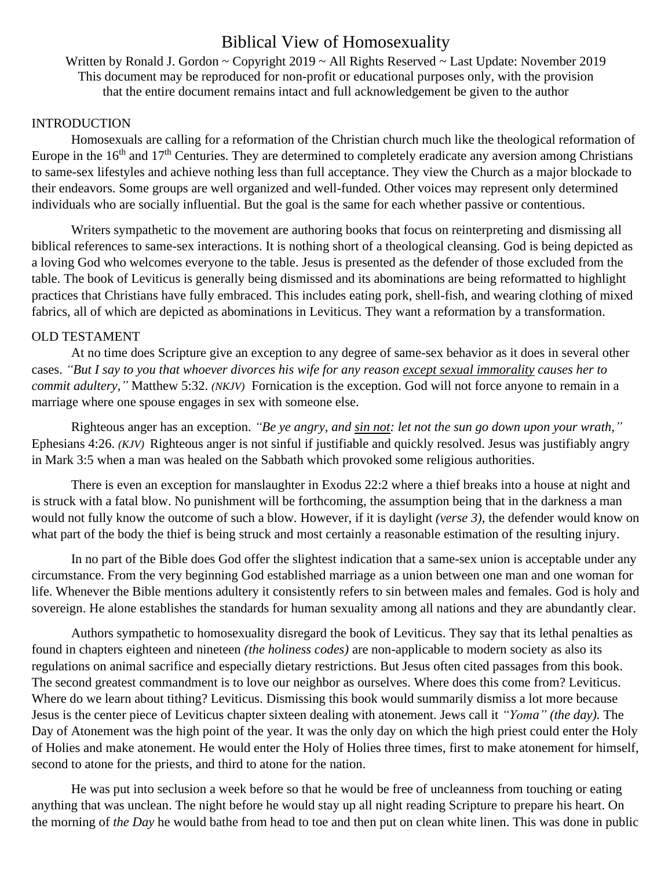Written by Ronald J. Gordon ~ Copyright 2019 ~ All Rights Reserved ~ Last Update: November 2019 This document may be reproduced for non-profit or educational purposes only, with the provision that the entire document remains intact and full acknowledgement be given to the author

#### INTRODUCTION

Homosexuals are calling for a reformation of the Christian church much like the theological reformation of Europe in the  $16<sup>th</sup>$  and  $17<sup>th</sup>$  Centuries. They are determined to completely eradicate any aversion among Christians to same-sex lifestyles and achieve nothing less than full acceptance. They view the Church as a major blockade to their endeavors. Some groups are well organized and well-funded. Other voices may represent only determined individuals who are socially influential. But the goal is the same for each whether passive or contentious.

Writers sympathetic to the movement are authoring books that focus on reinterpreting and dismissing all biblical references to same-sex interactions. It is nothing short of a theological cleansing. God is being depicted as a loving God who welcomes everyone to the table. Jesus is presented as the defender of those excluded from the table. The book of Leviticus is generally being dismissed and its abominations are being reformatted to highlight practices that Christians have fully embraced. This includes eating pork, shell-fish, and wearing clothing of mixed fabrics, all of which are depicted as abominations in Leviticus. They want a reformation by a transformation.

#### OLD TESTAMENT

At no time does Scripture give an exception to any degree of same-sex behavior as it does in several other cases. *"But I say to you that whoever divorces his wife for any reason except sexual immorality causes her to commit adultery,"* Matthew 5:32. *(NKJV)* Fornication is the exception. God will not force anyone to remain in a marriage where one spouse engages in sex with someone else.

Righteous anger has an exception. *"Be ye angry, and sin not: let not the sun go down upon your wrath,"* Ephesians 4:26. *(KJV)* Righteous anger is not sinful if justifiable and quickly resolved. Jesus was justifiably angry in Mark 3:5 when a man was healed on the Sabbath which provoked some religious authorities.

There is even an exception for manslaughter in Exodus 22:2 where a thief breaks into a house at night and is struck with a fatal blow. No punishment will be forthcoming, the assumption being that in the darkness a man would not fully know the outcome of such a blow. However, if it is daylight *(verse 3)*, the defender would know on what part of the body the thief is being struck and most certainly a reasonable estimation of the resulting injury.

In no part of the Bible does God offer the slightest indication that a same-sex union is acceptable under any circumstance. From the very beginning God established marriage as a union between one man and one woman for life. Whenever the Bible mentions adultery it consistently refers to sin between males and females. God is holy and sovereign. He alone establishes the standards for human sexuality among all nations and they are abundantly clear.

Authors sympathetic to homosexuality disregard the book of Leviticus. They say that its lethal penalties as found in chapters eighteen and nineteen *(the holiness codes)* are non-applicable to modern society as also its regulations on animal sacrifice and especially dietary restrictions. But Jesus often cited passages from this book. The second greatest commandment is to love our neighbor as ourselves. Where does this come from? Leviticus. Where do we learn about tithing? Leviticus. Dismissing this book would summarily dismiss a lot more because Jesus is the center piece of Leviticus chapter sixteen dealing with atonement. Jews call it *"Yoma" (the day).* The Day of Atonement was the high point of the year. It was the only day on which the high priest could enter the Holy of Holies and make atonement. He would enter the Holy of Holies three times, first to make atonement for himself, second to atone for the priests, and third to atone for the nation.

He was put into seclusion a week before so that he would be free of uncleanness from touching or eating anything that was unclean. The night before he would stay up all night reading Scripture to prepare his heart. On the morning of *the Day* he would bathe from head to toe and then put on clean white linen. This was done in public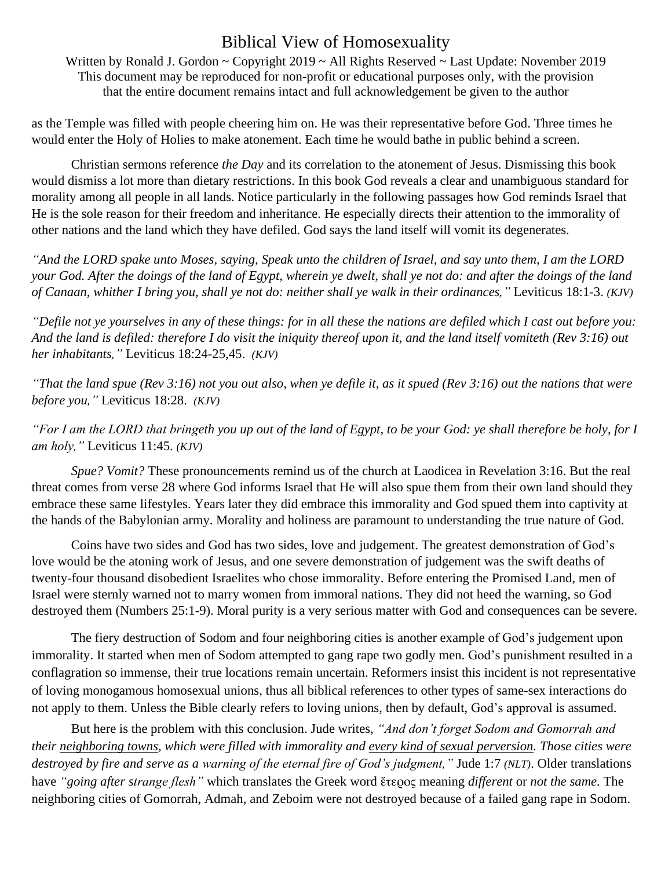Written by Ronald J. Gordon ~ Copyright 2019 ~ All Rights Reserved ~ Last Update: November 2019 This document may be reproduced for non-profit or educational purposes only, with the provision that the entire document remains intact and full acknowledgement be given to the author

as the Temple was filled with people cheering him on. He was their representative before God. Three times he would enter the Holy of Holies to make atonement. Each time he would bathe in public behind a screen.

Christian sermons reference *the Day* and its correlation to the atonement of Jesus. Dismissing this book would dismiss a lot more than dietary restrictions. In this book God reveals a clear and unambiguous standard for morality among all people in all lands. Notice particularly in the following passages how God reminds Israel that He is the sole reason for their freedom and inheritance. He especially directs their attention to the immorality of other nations and the land which they have defiled. God says the land itself will vomit its degenerates.

*"And the LORD spake unto Moses, saying, Speak unto the children of Israel, and say unto them, I am the LORD your God. After the doings of the land of Egypt, wherein ye dwelt, shall ye not do: and after the doings of the land of Canaan, whither I bring you, shall ye not do: neither shall ye walk in their ordinances,"* Leviticus 18:1-3. *(KJV)*

*"Defile not ye yourselves in any of these things: for in all these the nations are defiled which I cast out before you: And the land is defiled: therefore I do visit the iniquity thereof upon it, and the land itself vomiteth (Rev 3:16) out her inhabitants,"* Leviticus 18:24-25,45. *(KJV)*

*"That the land spue (Rev 3:16) not you out also, when ye defile it, as it spued (Rev 3:16) out the nations that were before you,"* Leviticus 18:28. *(KJV)*

*"For I am the LORD that bringeth you up out of the land of Egypt, to be your God: ye shall therefore be holy, for I am holy,"* Leviticus 11:45. *(KJV)*

*Spue? Vomit?* These pronouncements remind us of the church at Laodicea in Revelation 3:16. But the real threat comes from verse 28 where God informs Israel that He will also spue them from their own land should they embrace these same lifestyles. Years later they did embrace this immorality and God spued them into captivity at the hands of the Babylonian army. Morality and holiness are paramount to understanding the true nature of God.

Coins have two sides and God has two sides, love and judgement. The greatest demonstration of God's love would be the atoning work of Jesus, and one severe demonstration of judgement was the swift deaths of twenty-four thousand disobedient Israelites who chose immorality. Before entering the Promised Land, men of Israel were sternly warned not to marry women from immoral nations. They did not heed the warning, so God destroyed them (Numbers 25:1-9). Moral purity is a very serious matter with God and consequences can be severe.

The fiery destruction of Sodom and four neighboring cities is another example of God's judgement upon immorality. It started when men of Sodom attempted to gang rape two godly men. God's punishment resulted in a conflagration so immense, their true locations remain uncertain. Reformers insist this incident is not representative of loving monogamous homosexual unions, thus all biblical references to other types of same-sex interactions do not apply to them. Unless the Bible clearly refers to loving unions, then by default, God's approval is assumed.

But here is the problem with this conclusion. Jude writes, *"And don't forget Sodom and Gomorrah and their neighboring towns, which were filled with immorality and every kind of sexual perversion. Those cities were destroyed by fire and serve as a warning of the eternal fire of God's judgment,"* Jude 1:7 *(NLT)*. Older translations have *"going after strange flesh"* which translates the Greek word ἕτερος meaning *different* or *not the same*. The neighboring cities of Gomorrah, Admah, and Zeboim were not destroyed because of a failed gang rape in Sodom.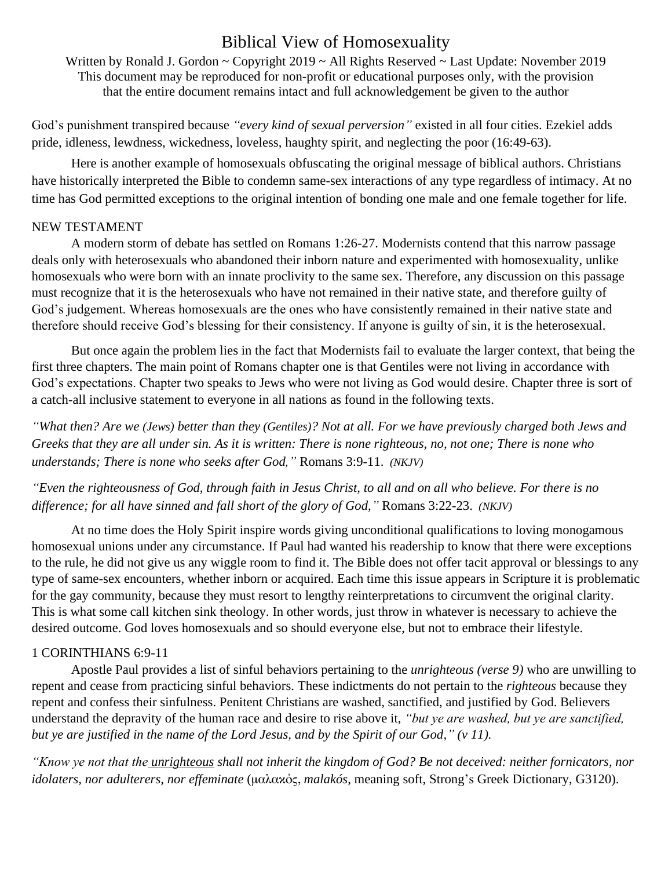Written by Ronald J. Gordon ~ Copyright 2019 ~ All Rights Reserved ~ Last Update: November 2019 This document may be reproduced for non-profit or educational purposes only, with the provision that the entire document remains intact and full acknowledgement be given to the author

God's punishment transpired because *"every kind of sexual perversion"* existed in all four cities. Ezekiel adds pride, idleness, lewdness, wickedness, loveless, haughty spirit, and neglecting the poor (16:49-63).

Here is another example of homosexuals obfuscating the original message of biblical authors. Christians have historically interpreted the Bible to condemn same-sex interactions of any type regardless of intimacy. At no time has God permitted exceptions to the original intention of bonding one male and one female together for life.

#### NEW TESTAMENT

A modern storm of debate has settled on Romans 1:26-27. Modernists contend that this narrow passage deals only with heterosexuals who abandoned their inborn nature and experimented with homosexuality, unlike homosexuals who were born with an innate proclivity to the same sex. Therefore, any discussion on this passage must recognize that it is the heterosexuals who have not remained in their native state, and therefore guilty of God's judgement. Whereas homosexuals are the ones who have consistently remained in their native state and therefore should receive God's blessing for their consistency. If anyone is guilty of sin, it is the heterosexual.

But once again the problem lies in the fact that Modernists fail to evaluate the larger context, that being the first three chapters. The main point of Romans chapter one is that Gentiles were not living in accordance with God's expectations. Chapter two speaks to Jews who were not living as God would desire. Chapter three is sort of a catch-all inclusive statement to everyone in all nations as found in the following texts.

*"What then? Are we (Jews) better than they (Gentiles)? Not at all. For we have previously charged both Jews and Greeks that they are all under sin. As it is written: There is none righteous, no, not one; There is none who understands; There is none who seeks after God,"* Romans 3:9-11. *(NKJV)*

*"Even the righteousness of God, through faith in Jesus Christ, to all and on all who believe. For there is no difference; for all have sinned and fall short of the glory of God,"* Romans 3:22-23. *(NKJV)*

At no time does the Holy Spirit inspire words giving unconditional qualifications to loving monogamous homosexual unions under any circumstance. If Paul had wanted his readership to know that there were exceptions to the rule, he did not give us any wiggle room to find it. The Bible does not offer tacit approval or blessings to any type of same-sex encounters, whether inborn or acquired. Each time this issue appears in Scripture it is problematic for the gay community, because they must resort to lengthy reinterpretations to circumvent the original clarity. This is what some call kitchen sink theology. In other words, just throw in whatever is necessary to achieve the desired outcome. God loves homosexuals and so should everyone else, but not to embrace their lifestyle.

### 1 CORINTHIANS 6:9-11

Apostle Paul provides a list of sinful behaviors pertaining to the *unrighteous (verse 9)* who are unwilling to repent and cease from practicing sinful behaviors. These indictments do not pertain to the *righteous* because they repent and confess their sinfulness. Penitent Christians are washed, sanctified, and justified by God. Believers understand the depravity of the human race and desire to rise above it, *"but ye are washed, but ye are sanctified, but ye are justified in the name of the Lord Jesus, and by the Spirit of our God," (v 11).*

*"Know ye not that the unrighteous shall not inherit the kingdom of God? Be not deceived: neither fornicators, nor idolaters, nor adulterers, nor effeminate* (μαλακός, *malakós*, meaning soft, Strong's Greek Dictionary, G3120).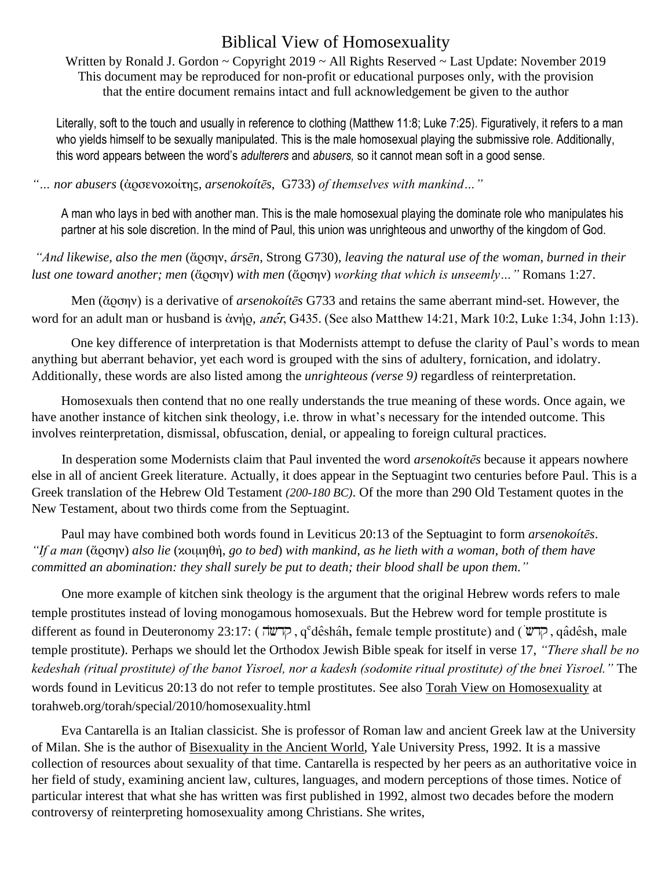Written by Ronald J. Gordon ~ Copyright 2019 ~ All Rights Reserved ~ Last Update: November 2019 This document may be reproduced for non-profit or educational purposes only, with the provision that the entire document remains intact and full acknowledgement be given to the author

Literally, soft to the touch and usually in reference to clothing (Matthew 11:8; Luke 7:25). Figuratively, it refers to a man who yields himself to be sexually manipulated. This is the male homosexual playing the submissive role. Additionally, this word appears between the word's *adulterers* and *abusers,* so it cannot mean soft in a good sense.

*"… nor abusers* (ἀρσενοκοίτης, *arsenokoítēs*, G733) *of themselves with mankind…"*

A man who lays in bed with another man. This is the male homosexual playing the dominate role who manipulates his partner at his sole discretion. In the mind of Paul, this union was unrighteous and unworthy of the kingdom of God.

*"And likewise, also the men* (ἄρσην, *ársēn*, Strong G730)*, leaving the natural use of the woman, burned in their lust one toward another; men* (ἄρσην) *with men* (ἄρσην) *working that which is unseemly…"* Romans 1:27.

Men (ἄρσην) is a derivative of *arsenokoítēs* G733 and retains the same aberrant mind-set. However, the word for an adult man or husband is ἀνήρ, *anér*, G435. (See also Matthew 14:21, Mark 10:2, Luke 1:34, John 1:13).

One key difference of interpretation is that Modernists attempt to defuse the clarity of Paul's words to mean anything but aberrant behavior, yet each word is grouped with the sins of adultery, fornication, and idolatry. Additionally, these words are also listed among the *unrighteous (verse 9)* regardless of reinterpretation.

Homosexuals then contend that no one really understands the true meaning of these words. Once again, we have another instance of kitchen sink theology, i.e. throw in what's necessary for the intended outcome. This involves reinterpretation, dismissal, obfuscation, denial, or appealing to foreign cultural practices.

In desperation some Modernists claim that Paul invented the word *arsenokoítēs* because it appears nowhere else in all of ancient Greek literature. Actually, it does appear in the Septuagint two centuries before Paul. This is a Greek translation of the Hebrew Old Testament *(200-180 BC)*. Of the more than 290 Old Testament quotes in the New Testament, about two thirds come from the Septuagint.

Paul may have combined both words found in Leviticus 20:13 of the Septuagint to form *arsenokoítēs*. *"If a man* (ἄρσην) *also lie* (κοιμηθή, *go to bed*) *with mankind, as he lieth with a woman, both of them have committed an abomination: they shall surely be put to death; their blood shall be upon them."*

One more example of kitchen sink theology is the argument that the original Hebrew words refers to male temple prostitutes instead of loving monogamous homosexuals. But the Hebrew word for temple prostitute is different as found in Deuteronomy 23:17: ( הְדְשׁה, q<sup>e</sup>dêshâh, female temple prostitute) and ( קָרשׁה, qâdêsh, male temple prostitute). Perhaps we should let the Orthodox Jewish Bible speak for itself in verse 17, *"There shall be no kedeshah (ritual prostitute) of the banot Yisroel, nor a kadesh (sodomite ritual prostitute) of the bnei Yisroel."* The words found in Leviticus 20:13 do not refer to temple prostitutes. See also Torah View on Homosexuality at torahweb.org/torah/special/2010/homosexuality.html

Eva Cantarella is an Italian classicist. She is professor of Roman law and ancient Greek law at the University of Milan. She is the author of Bisexuality in the Ancient World, Yale University Press, 1992. It is a massive collection of resources about sexuality of that time. Cantarella is respected by her peers as an authoritative voice in her field of study, examining ancient law, cultures, languages, and modern perceptions of those times. Notice of particular interest that what she has written was first published in 1992, almost two decades before the modern controversy of reinterpreting homosexuality among Christians. She writes,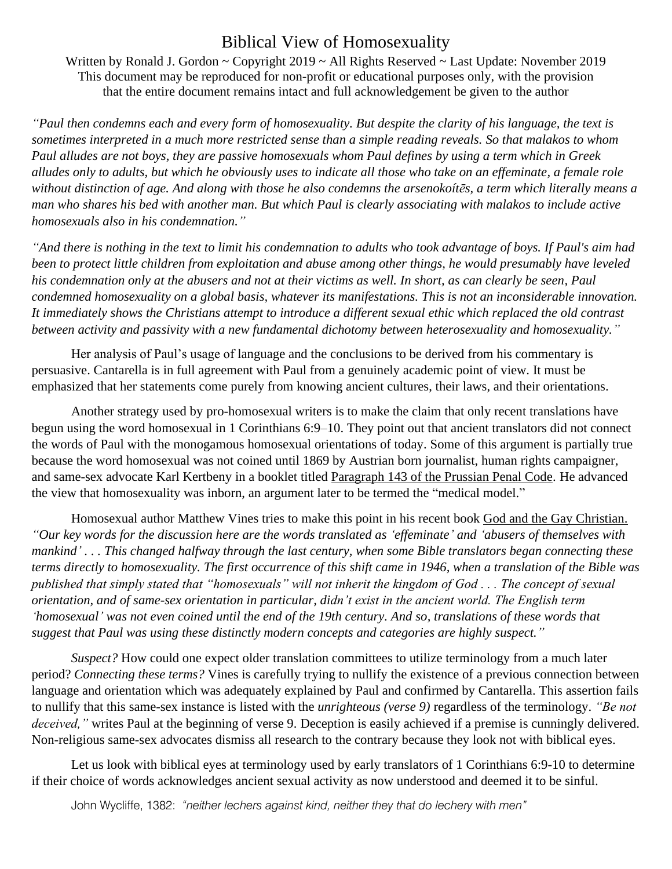Written by Ronald J. Gordon ~ Copyright 2019 ~ All Rights Reserved ~ Last Update: November 2019 This document may be reproduced for non-profit or educational purposes only, with the provision that the entire document remains intact and full acknowledgement be given to the author

*"Paul then condemns each and every form of homosexuality. But despite the clarity of his language, the text is sometimes interpreted in a much more restricted sense than a simple reading reveals. So that malakos to whom Paul alludes are not boys, they are passive homosexuals whom Paul defines by using a term which in Greek alludes only to adults, but which he obviously uses to indicate all those who take on an effeminate, a female role without distinction of age. And along with those he also condemns the arsenokoítēs, a term which literally means a man who shares his bed with another man. But which Paul is clearly associating with malakos to include active homosexuals also in his condemnation."*

*"And there is nothing in the text to limit his condemnation to adults who took advantage of boys. If Paul's aim had been to protect little children from exploitation and abuse among other things, he would presumably have leveled his condemnation only at the abusers and not at their victims as well. In short, as can clearly be seen, Paul condemned homosexuality on a global basis, whatever its manifestations. This is not an inconsiderable innovation. It immediately shows the Christians attempt to introduce a different sexual ethic which replaced the old contrast between activity and passivity with a new fundamental dichotomy between heterosexuality and homosexuality."*

Her analysis of Paul's usage of language and the conclusions to be derived from his commentary is persuasive. Cantarella is in full agreement with Paul from a genuinely academic point of view. It must be emphasized that her statements come purely from knowing ancient cultures, their laws, and their orientations.

Another strategy used by pro-homosexual writers is to make the claim that only recent translations have begun using the word homosexual in 1 Corinthians 6:9–10. They point out that ancient translators did not connect the words of Paul with the monogamous homosexual orientations of today. Some of this argument is partially true because the word homosexual was not coined until 1869 by Austrian born journalist, human rights campaigner, and same-sex advocate Karl Kertbeny in a booklet titled Paragraph 143 of the Prussian Penal Code. He advanced the view that homosexuality was inborn, an argument later to be termed the "medical model."

Homosexual author Matthew Vines tries to make this point in his recent book God and the Gay Christian. *"Our key words for the discussion here are the words translated as 'effeminate' and 'abusers of themselves with mankind' . . . This changed halfway through the last century, when some Bible translators began connecting these terms directly to homosexuality. The first occurrence of this shift came in 1946, when a translation of the Bible was published that simply stated that "homosexuals" will not inherit the kingdom of God . . . The concept of sexual orientation, and of same-sex orientation in particular, didn't exist in the ancient world. The English term 'homosexual' was not even coined until the end of the 19th century. And so, translations of these words that suggest that Paul was using these distinctly modern concepts and categories are highly suspect."*

*Suspect?* How could one expect older translation committees to utilize terminology from a much later period? *Connecting these terms?* Vines is carefully trying to nullify the existence of a previous connection between language and orientation which was adequately explained by Paul and confirmed by Cantarella. This assertion fails to nullify that this same-sex instance is listed with the *unrighteous (verse 9)* regardless of the terminology. *"Be not deceived,"* writes Paul at the beginning of verse 9. Deception is easily achieved if a premise is cunningly delivered. Non-religious same-sex advocates dismiss all research to the contrary because they look not with biblical eyes.

Let us look with biblical eyes at terminology used by early translators of 1 Corinthians 6:9-10 to determine if their choice of words acknowledges ancient sexual activity as now understood and deemed it to be sinful.

John Wycliffe, 1382: *"neither lechers against kind, neither they that do lechery with men"*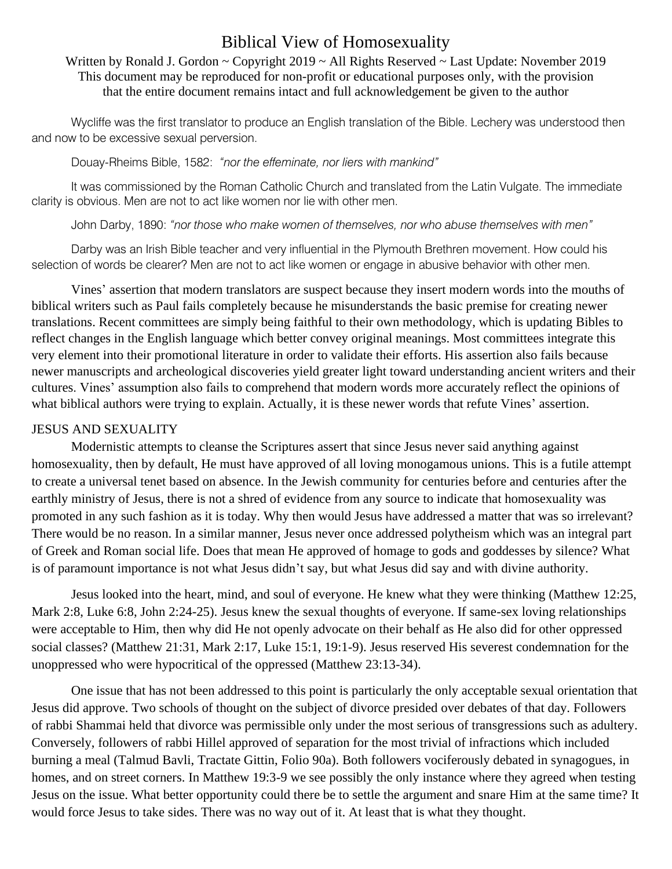Written by Ronald J. Gordon ~ Copyright 2019 ~ All Rights Reserved ~ Last Update: November 2019 This document may be reproduced for non-profit or educational purposes only, with the provision that the entire document remains intact and full acknowledgement be given to the author

Wycliffe was the first translator to produce an English translation of the Bible. Lechery was understood then and now to be excessive sexual perversion.

Douay-Rheims Bible, 1582: *"nor the effeminate, nor liers with mankind"*

It was commissioned by the Roman Catholic Church and translated from the Latin Vulgate. The immediate clarity is obvious. Men are not to act like women nor lie with other men.

John Darby, 1890: *"nor those who make women of themselves, nor who abuse themselves with men"*

Darby was an Irish Bible teacher and very influential in the Plymouth Brethren movement. How could his selection of words be clearer? Men are not to act like women or engage in abusive behavior with other men.

Vines' assertion that modern translators are suspect because they insert modern words into the mouths of biblical writers such as Paul fails completely because he misunderstands the basic premise for creating newer translations. Recent committees are simply being faithful to their own methodology, which is updating Bibles to reflect changes in the English language which better convey original meanings. Most committees integrate this very element into their promotional literature in order to validate their efforts. His assertion also fails because newer manuscripts and archeological discoveries yield greater light toward understanding ancient writers and their cultures. Vines' assumption also fails to comprehend that modern words more accurately reflect the opinions of what biblical authors were trying to explain. Actually, it is these newer words that refute Vines' assertion.

### JESUS AND SEXUALITY

Modernistic attempts to cleanse the Scriptures assert that since Jesus never said anything against homosexuality, then by default, He must have approved of all loving monogamous unions. This is a futile attempt to create a universal tenet based on absence. In the Jewish community for centuries before and centuries after the earthly ministry of Jesus, there is not a shred of evidence from any source to indicate that homosexuality was promoted in any such fashion as it is today. Why then would Jesus have addressed a matter that was so irrelevant? There would be no reason. In a similar manner, Jesus never once addressed polytheism which was an integral part of Greek and Roman social life. Does that mean He approved of homage to gods and goddesses by silence? What is of paramount importance is not what Jesus didn't say, but what Jesus did say and with divine authority.

Jesus looked into the heart, mind, and soul of everyone. He knew what they were thinking (Matthew 12:25, Mark 2:8, Luke 6:8, John 2:24-25). Jesus knew the sexual thoughts of everyone. If same-sex loving relationships were acceptable to Him, then why did He not openly advocate on their behalf as He also did for other oppressed social classes? (Matthew 21:31, Mark 2:17, Luke 15:1, 19:1-9). Jesus reserved His severest condemnation for the unoppressed who were hypocritical of the oppressed (Matthew 23:13-34).

One issue that has not been addressed to this point is particularly the only acceptable sexual orientation that Jesus did approve. Two schools of thought on the subject of divorce presided over debates of that day. Followers of rabbi Shammai held that divorce was permissible only under the most serious of transgressions such as adultery. Conversely, followers of rabbi Hillel approved of separation for the most trivial of infractions which included burning a meal (Talmud Bavli, Tractate Gittin, Folio 90a). Both followers vociferously debated in synagogues, in homes, and on street corners. In Matthew 19:3-9 we see possibly the only instance where they agreed when testing Jesus on the issue. What better opportunity could there be to settle the argument and snare Him at the same time? It would force Jesus to take sides. There was no way out of it. At least that is what they thought.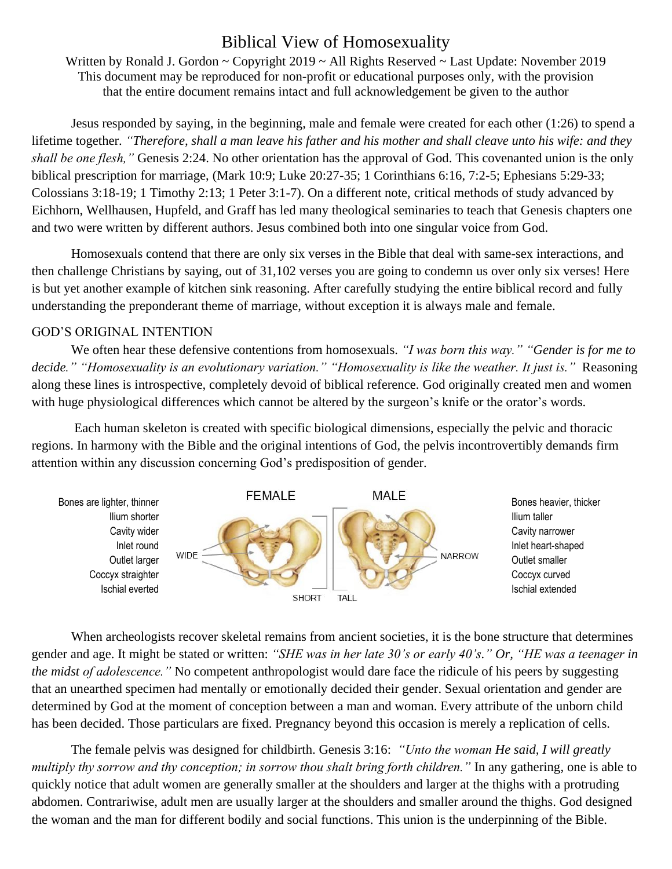Written by Ronald J. Gordon ~ Copyright 2019 ~ All Rights Reserved ~ Last Update: November 2019 This document may be reproduced for non-profit or educational purposes only, with the provision that the entire document remains intact and full acknowledgement be given to the author

Jesus responded by saying, in the beginning, male and female were created for each other (1:26) to spend a lifetime together. *"Therefore, shall a man leave his father and his mother and shall cleave unto his wife: and they shall be one flesh,"* Genesis 2:24. No other orientation has the approval of God. This covenanted union is the only biblical prescription for marriage, (Mark 10:9; Luke 20:27-35; 1 Corinthians 6:16, 7:2-5; Ephesians 5:29-33; Colossians 3:18-19; 1 Timothy 2:13; 1 Peter 3:1-7). On a different note, critical methods of study advanced by Eichhorn, Wellhausen, Hupfeld, and Graff has led many theological seminaries to teach that Genesis chapters one and two were written by different authors. Jesus combined both into one singular voice from God.

Homosexuals contend that there are only six verses in the Bible that deal with same-sex interactions, and then challenge Christians by saying, out of 31,102 verses you are going to condemn us over only six verses! Here is but yet another example of kitchen sink reasoning. After carefully studying the entire biblical record and fully understanding the preponderant theme of marriage, without exception it is always male and female.

#### GOD'S ORIGINAL INTENTION

We often hear these defensive contentions from homosexuals. *"I was born this way." "Gender is for me to decide." "Homosexuality is an evolutionary variation." "Homosexuality is like the weather. It just is."* Reasoning along these lines is introspective, completely devoid of biblical reference. God originally created men and women with huge physiological differences which cannot be altered by the surgeon's knife or the orator's words.

Each human skeleton is created with specific biological dimensions, especially the pelvic and thoracic regions. In harmony with the Bible and the original intentions of God, the pelvis incontrovertibly demands firm attention within any discussion concerning God's predisposition of gender.



When archeologists recover skeletal remains from ancient societies, it is the bone structure that determines gender and age. It might be stated or written: *"SHE was in her late 30's or early 40's." Or, "HE was a teenager in the midst of adolescence."* No competent anthropologist would dare face the ridicule of his peers by suggesting that an unearthed specimen had mentally or emotionally decided their gender. Sexual orientation and gender are determined by God at the moment of conception between a man and woman. Every attribute of the unborn child has been decided. Those particulars are fixed. Pregnancy beyond this occasion is merely a replication of cells.

The female pelvis was designed for childbirth. Genesis 3:16: *"Unto the woman He said, I will greatly multiply thy sorrow and thy conception; in sorrow thou shalt bring forth children."* In any gathering, one is able to quickly notice that adult women are generally smaller at the shoulders and larger at the thighs with a protruding abdomen. Contrariwise, adult men are usually larger at the shoulders and smaller around the thighs. God designed the woman and the man for different bodily and social functions. This union is the underpinning of the Bible.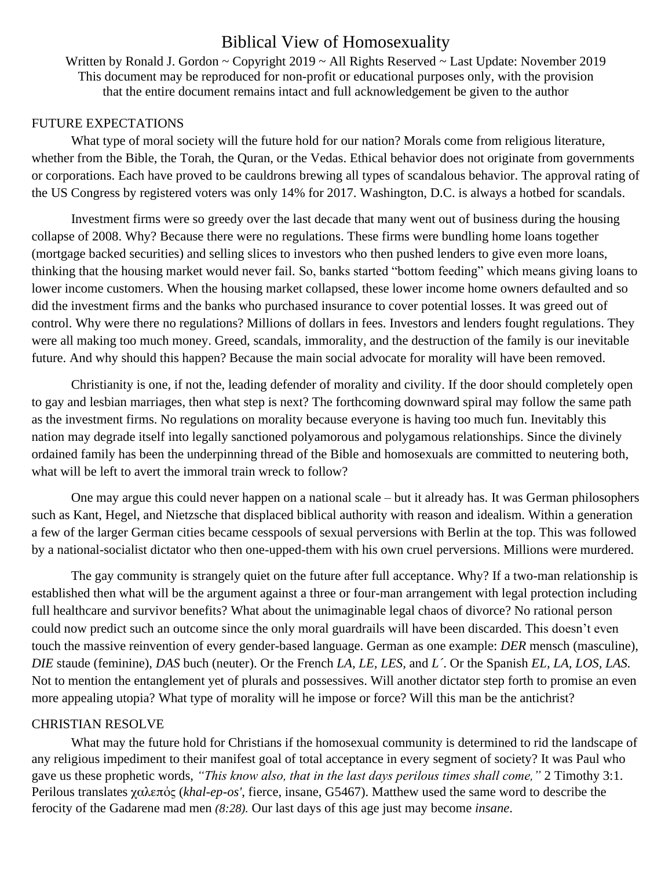Written by Ronald J. Gordon ~ Copyright 2019 ~ All Rights Reserved ~ Last Update: November 2019 This document may be reproduced for non-profit or educational purposes only, with the provision that the entire document remains intact and full acknowledgement be given to the author

#### FUTURE EXPECTATIONS

What type of moral society will the future hold for our nation? Morals come from religious literature, whether from the Bible, the Torah, the Quran, or the Vedas. Ethical behavior does not originate from governments or corporations. Each have proved to be cauldrons brewing all types of scandalous behavior. The approval rating of the US Congress by registered voters was only 14% for 2017. Washington, D.C. is always a hotbed for scandals.

Investment firms were so greedy over the last decade that many went out of business during the housing collapse of 2008. Why? Because there were no regulations. These firms were bundling home loans together (mortgage backed securities) and selling slices to investors who then pushed lenders to give even more loans, thinking that the housing market would never fail. So, banks started "bottom feeding" which means giving loans to lower income customers. When the housing market collapsed, these lower income home owners defaulted and so did the investment firms and the banks who purchased insurance to cover potential losses. It was greed out of control. Why were there no regulations? Millions of dollars in fees. Investors and lenders fought regulations. They were all making too much money. Greed, scandals, immorality, and the destruction of the family is our inevitable future. And why should this happen? Because the main social advocate for morality will have been removed.

Christianity is one, if not the, leading defender of morality and civility. If the door should completely open to gay and lesbian marriages, then what step is next? The forthcoming downward spiral may follow the same path as the investment firms. No regulations on morality because everyone is having too much fun. Inevitably this nation may degrade itself into legally sanctioned polyamorous and polygamous relationships. Since the divinely ordained family has been the underpinning thread of the Bible and homosexuals are committed to neutering both, what will be left to avert the immoral train wreck to follow?

One may argue this could never happen on a national scale – but it already has. It was German philosophers such as Kant, Hegel, and Nietzsche that displaced biblical authority with reason and idealism. Within a generation a few of the larger German cities became cesspools of sexual perversions with Berlin at the top. This was followed by a national-socialist dictator who then one-upped-them with his own cruel perversions. Millions were murdered.

The gay community is strangely quiet on the future after full acceptance. Why? If a two-man relationship is established then what will be the argument against a three or four-man arrangement with legal protection including full healthcare and survivor benefits? What about the unimaginable legal chaos of divorce? No rational person could now predict such an outcome since the only moral guardrails will have been discarded. This doesn't even touch the massive reinvention of every gender-based language. German as one example: *DER* mensch (masculine), *DIE* staude (feminine), *DAS* buch (neuter). Or the French *LA, LE, LES,* and *L´*. Or the Spanish *EL, LA, LOS, LAS.*  Not to mention the entanglement yet of plurals and possessives. Will another dictator step forth to promise an even more appealing utopia? What type of morality will he impose or force? Will this man be the antichrist?

#### CHRISTIAN RESOLVE

What may the future hold for Christians if the homosexual community is determined to rid the landscape of any religious impediment to their manifest goal of total acceptance in every segment of society? It was Paul who gave us these prophetic words, *"This know also, that in the last days perilous times shall come,"* 2 Timothy 3:1. Perilous translates χαλεπός (*khal-ep-os'*, fierce, insane, G5467). Matthew used the same word to describe the ferocity of the Gadarene mad men *(8:28).* Our last days of this age just may become *insane*.